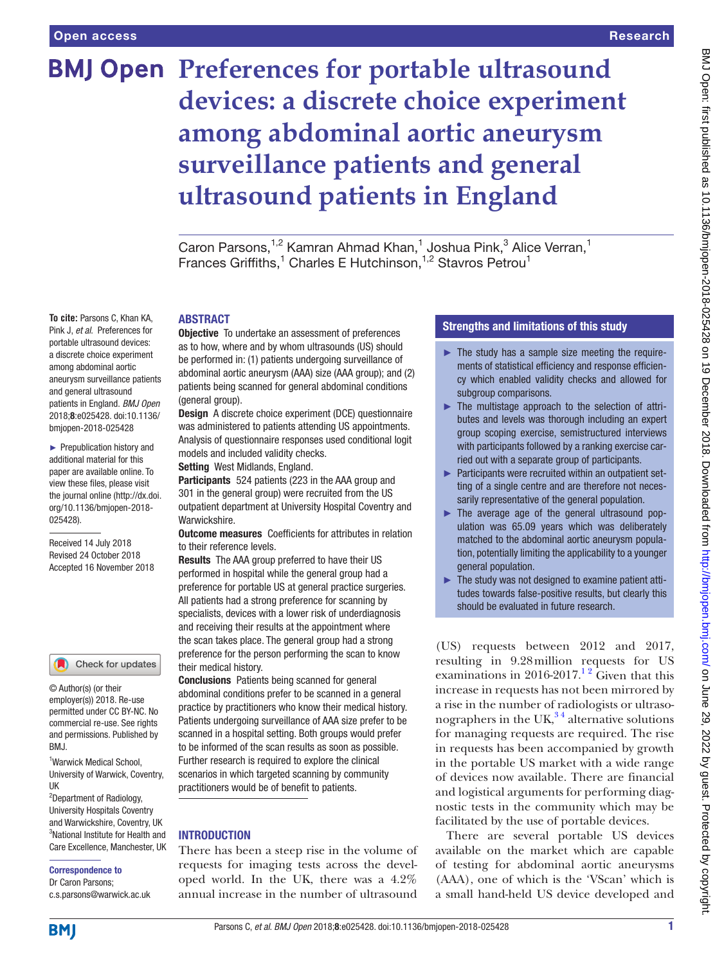**To cite:** Parsons C, Khan KA, Pink J, *et al*. Preferences for portable ultrasound devices: a discrete choice experiment among abdominal aortic aneurysm surveillance patients and general ultrasound patients in England. *BMJ Open* 2018;8:e025428. doi:10.1136/ bmjopen-2018-025428 ► Prepublication history and additional material for this paper are available online. To view these files, please visit the journal online [\(http://dx.doi.](http://dx.doi.org/10.1136/bmjopen-2018-025428) [org/10.1136/bmjopen-2018-](http://dx.doi.org/10.1136/bmjopen-2018-025428)

# **BMJ Open Preferences for portable ultrasound devices: a discrete choice experiment among abdominal aortic aneurysm surveillance patients and general ultrasound patients in England**

Caron Parsons,<sup>1,2</sup> Kamran Ahmad Khan,<sup>1</sup> Joshua Pink,<sup>3</sup> Alice Verran,<sup>1</sup> Frances Griffiths,<sup>1</sup> Charles E Hutchinson,<sup>1,2</sup> Stavros Petrou<sup>1</sup>

### **ABSTRACT**

**Objective** To undertake an assessment of preferences as to how, where and by whom ultrasounds (US) should be performed in: (1) patients undergoing surveillance of abdominal aortic aneurysm (AAA) size (AAA group); and (2) patients being scanned for general abdominal conditions (general group).

Design A discrete choice experiment (DCE) questionnaire was administered to patients attending US appointments. Analysis of questionnaire responses used conditional logit models and included validity checks.

Setting West Midlands, England.

Participants 524 patients (223 in the AAA group and 301 in the general group) were recruited from the US outpatient department at University Hospital Coventry and Warwickshire.

**Outcome measures** Coefficients for attributes in relation to their reference levels.

Results The AAA group preferred to have their US performed in hospital while the general group had a preference for portable US at general practice surgeries. All patients had a strong preference for scanning by specialists, devices with a lower risk of underdiagnosis and receiving their results at the appointment where the scan takes place. The general group had a strong preference for the person performing the scan to know their medical history.

Conclusions Patients being scanned for general abdominal conditions prefer to be scanned in a general practice by practitioners who know their medical history. Patients undergoing surveillance of AAA size prefer to be scanned in a hospital setting. Both groups would prefer to be informed of the scan results as soon as possible. Further research is required to explore the clinical scenarios in which targeted scanning by community practitioners would be of benefit to patients.

# **INTRODUCTION**

There has been a steep rise in the volume of requests for imaging tests across the developed world. In the UK, there was a 4.2% annual increase in the number of ultrasound

# Strengths and limitations of this study

- $\blacktriangleright$  The study has a sample size meeting the requirements of statistical efficiency and response efficiency which enabled validity checks and allowed for subgroup comparisons.
- ► The multistage approach to the selection of attributes and levels was thorough including an expert group scoping exercise, semistructured interviews with participants followed by a ranking exercise carried out with a separate group of participants.
- ► Participants were recruited within an outpatient setting of a single centre and are therefore not necessarily representative of the general population.
- ► The average age of the general ultrasound population was 65.09 years which was deliberately matched to the abdominal aortic aneurysm population, potentially limiting the applicability to a younger general population.
- ► The study was not designed to examine patient attitudes towards false-positive results, but clearly this should be evaluated in future research.

(US) requests between 2012 and 2017, resulting in 9.28million requests for US examinations in 2016-2017.<sup>12</sup> Given that this increase in requests has not been mirrored by a rise in the number of radiologists or ultrasonographers in the UK, $34$  alternative solutions for managing requests are required. The rise in requests has been accompanied by growth in the portable US market with a wide range of devices now available. There are financial and logistical arguments for performing diagnostic tests in the community which may be facilitated by the use of portable devices.

There are several portable US devices available on the market which are capable of testing for abdominal aortic aneurysms (AAA), one of which is the 'VScan' which is a small hand-held US device developed and

#### UK 2 Department of Radiology,

BMJ.

© Author(s) (or their employer(s)) 2018. Re-use permitted under CC BY-NC. No commercial re-use. See rights and permissions. Published by

Check for updates

1 Warwick Medical School, University of Warwick, Coventry,

[025428\)](http://dx.doi.org/10.1136/bmjopen-2018-025428).

Received 14 July 2018 Revised 24 October 2018 Accepted 16 November 2018

University Hospitals Coventry and Warwickshire, Coventry, UK 3 National Institute for Health and Care Excellence, Manchester, UK

#### Correspondence to

**BMI** 

Dr Caron Parsons; c.s.parsons@warwick.ac.uk

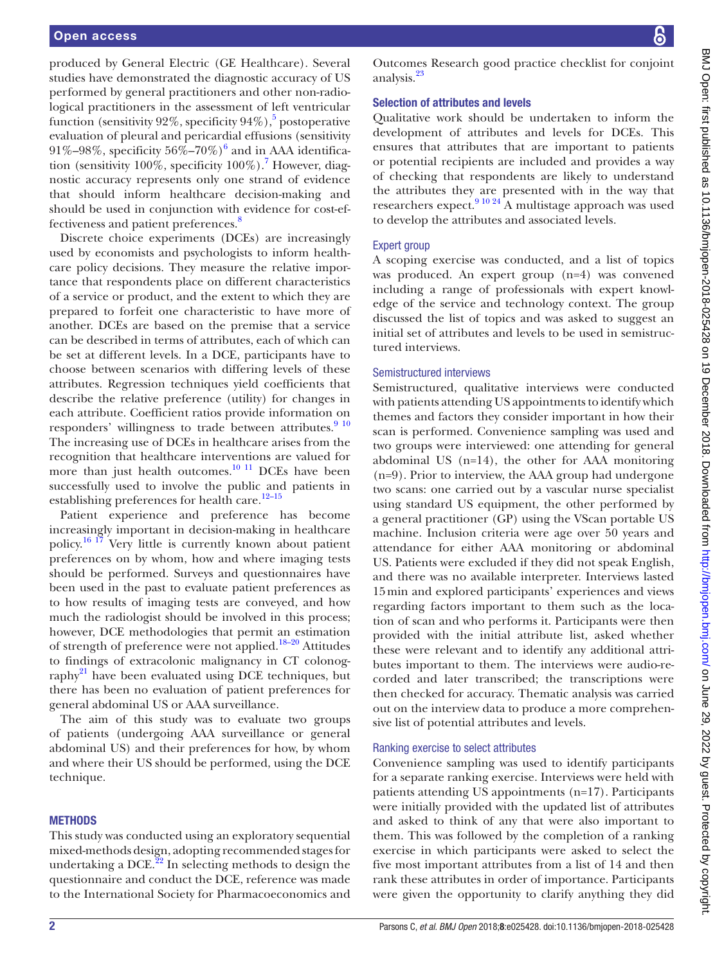produced by General Electric (GE Healthcare). Several studies have demonstrated the diagnostic accuracy of US performed by general practitioners and other non-radiological practitioners in the assessment of left ventricular function (sensitivity 92%, specificity 94%),<sup>[5](#page-6-2)</sup> postoperative evaluation of pleural and pericardial effusions (sensitivity 91%–98%, specificity  $56\%$  $56\%$  $56\%$ –70%) $^6$  and in AAA identification (sensitivity 100%, specificity  $100\%$ ).<sup>[7](#page-6-4)</sup> However, diagnostic accuracy represents only one strand of evidence that should inform healthcare decision-making and should be used in conjunction with evidence for cost-ef-fectiveness and patient preferences.<sup>[8](#page-6-5)</sup>

Discrete choice experiments (DCEs) are increasingly used by economists and psychologists to inform healthcare policy decisions. They measure the relative importance that respondents place on different characteristics of a service or product, and the extent to which they are prepared to forfeit one characteristic to have more of another. DCEs are based on the premise that a service can be described in terms of attributes, each of which can be set at different levels. In a DCE, participants have to choose between scenarios with differing levels of these attributes. Regression techniques yield coefficients that describe the relative preference (utility) for changes in each attribute. Coefficient ratios provide information on responders' willingness to trade between attributes. $9^{10}$ The increasing use of DCEs in healthcare arises from the recognition that healthcare interventions are valued for more than just health outcomes. $10$  <sup>11</sup> DCEs have been successfully used to involve the public and patients in establishing preferences for health care.<sup>12-15</sup>

Patient experience and preference has become increasingly important in decision-making in healthcare policy[.16 17](#page-7-3) Very little is currently known about patient preferences on by whom, how and where imaging tests should be performed. Surveys and questionnaires have been used in the past to evaluate patient preferences as to how results of imaging tests are conveyed, and how much the radiologist should be involved in this process; however, DCE methodologies that permit an estimation of strength of preference were not applied[.18–20](#page-7-4) Attitudes to findings of extracolonic malignancy in CT colonography<sup>21</sup> have been evaluated using DCE techniques, but there has been no evaluation of patient preferences for general abdominal US or AAA surveillance.

The aim of this study was to evaluate two groups of patients (undergoing AAA surveillance or general abdominal US) and their preferences for how, by whom and where their US should be performed, using the DCE technique.

#### **METHODS**

This study was conducted using an exploratory sequential mixed-methods design, adopting recommended stages for undertaking a DCE. $^{22}$  In selecting methods to design the questionnaire and conduct the DCE, reference was made to the International Society for Pharmacoeconomics and

Outcomes Research good practice checklist for conjoint analysis[.23](#page-7-7)

#### Selection of attributes and levels

Qualitative work should be undertaken to inform the development of attributes and levels for DCEs. This ensures that attributes that are important to patients or potential recipients are included and provides a way of checking that respondents are likely to understand the attributes they are presented with in the way that researchers expect.[9 10 24](#page-7-0) A multistage approach was used to develop the attributes and associated levels.

### Expert group

A scoping exercise was conducted, and a list of topics was produced. An expert group (n=4) was convened including a range of professionals with expert knowledge of the service and technology context. The group discussed the list of topics and was asked to suggest an initial set of attributes and levels to be used in semistructured interviews.

#### Semistructured interviews

Semistructured, qualitative interviews were conducted with patients attending US appointments to identify which themes and factors they consider important in how their scan is performed. Convenience sampling was used and two groups were interviewed: one attending for general abdominal US (n=14), the other for AAA monitoring (n=9). Prior to interview, the AAA group had undergone two scans: one carried out by a vascular nurse specialist using standard US equipment, the other performed by a general practitioner (GP) using the VScan portable US machine. Inclusion criteria were age over 50 years and attendance for either AAA monitoring or abdominal US. Patients were excluded if they did not speak English, and there was no available interpreter. Interviews lasted 15min and explored participants' experiences and views regarding factors important to them such as the location of scan and who performs it. Participants were then provided with the initial attribute list, asked whether these were relevant and to identify any additional attributes important to them. The interviews were audio-recorded and later transcribed; the transcriptions were then checked for accuracy. Thematic analysis was carried out on the interview data to produce a more comprehensive list of potential attributes and levels.

#### Ranking exercise to select attributes

Convenience sampling was used to identify participants for a separate ranking exercise. Interviews were held with patients attending US appointments (n=17). Participants were initially provided with the updated list of attributes and asked to think of any that were also important to them. This was followed by the completion of a ranking exercise in which participants were asked to select the five most important attributes from a list of 14 and then rank these attributes in order of importance. Participants were given the opportunity to clarify anything they did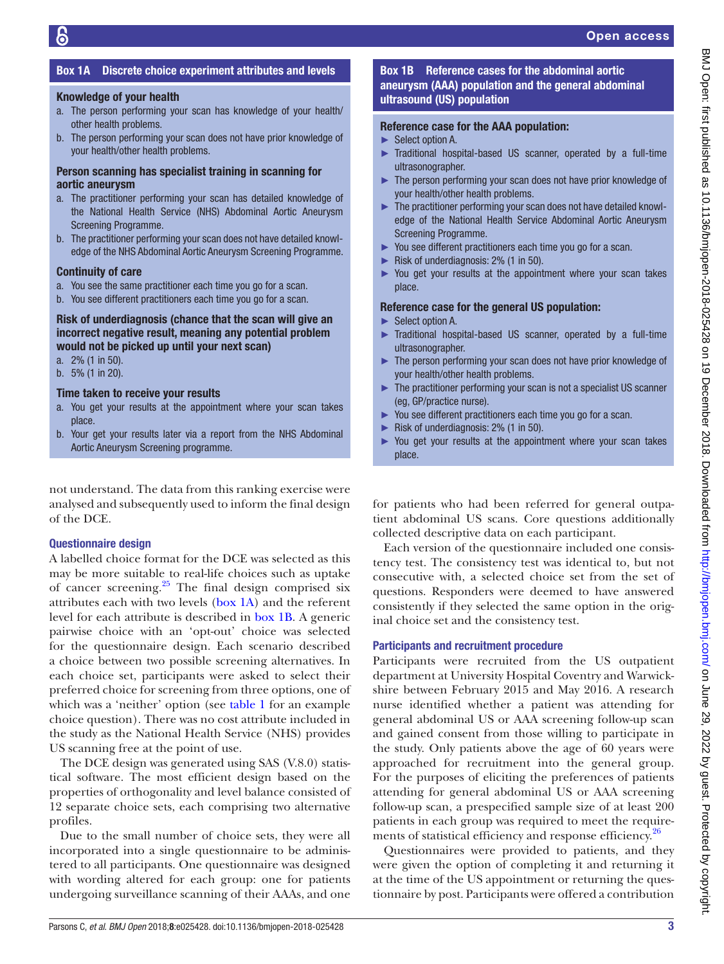# Box 1A Discrete choice experiment attributes and levels

#### <span id="page-2-0"></span>Knowledge of your health

- a. The person performing your scan has knowledge of your health/ other health problems.
- b. The person performing your scan does not have prior knowledge of your health/other health problems.

#### Person scanning has specialist training in scanning for aortic aneurysm

- a. The practitioner performing your scan has detailed knowledge of the National Health Service (NHS) Abdominal Aortic Aneurysm Screening Programme.
- b. The practitioner performing your scan does not have detailed knowledge of the NHS Abdominal Aortic Aneurysm Screening Programme.

#### Continuity of care

- a. You see the same practitioner each time you go for a scan.
- b. You see different practitioners each time you go for a scan.

#### Risk of underdiagnosis (chance that the scan will give an incorrect negative result, meaning any potential problem would not be picked up until your next scan)

- a. 2% (1 in 50).
- b. 5% (1 in 20).

#### Time taken to receive your results

- a. You get your results at the appointment where your scan takes place.
- b. Your get your results later via a report from the NHS Abdominal Aortic Aneurysm Screening programme.

not understand. The data from this ranking exercise were analysed and subsequently used to inform the final design of the DCE.

#### Questionnaire design

A labelled choice format for the DCE was selected as this may be more suitable to real-life choices such as uptake of cancer screening. $25$  The final design comprised six attributes each with two levels ([box](#page-2-0) 1A) and the referent level for each attribute is described in [box](#page-2-1) 1B. A generic pairwise choice with an 'opt-out' choice was selected for the questionnaire design. Each scenario described a choice between two possible screening alternatives. In each choice set, participants were asked to select their preferred choice for screening from three options, one of which was a 'neither' option (see [table](#page-3-0) 1 for an example choice question). There was no cost attribute included in the study as the National Health Service (NHS) provides US scanning free at the point of use.

The DCE design was generated using SAS (V.8.0) statistical software. The most efficient design based on the properties of orthogonality and level balance consisted of 12 separate choice sets, each comprising two alternative profiles.

Due to the small number of choice sets, they were all incorporated into a single questionnaire to be administered to all participants. One questionnaire was designed with wording altered for each group: one for patients undergoing surveillance scanning of their AAAs, and one

# Box 1B Reference cases for the abdominal aortic aneurysm (AAA) population and the general abdominal ultrasound (US) population

#### <span id="page-2-1"></span>Reference case for the AAA population:

- ► Select option A.
- ► Traditional hospital-based US scanner, operated by a full-time ultrasonographer.
- ► The person performing your scan does not have prior knowledge of your health/other health problems.
- ► The practitioner performing your scan does not have detailed knowledge of the National Health Service Abdominal Aortic Aneurysm Screening Programme.
- ► You see different practitioners each time you go for a scan.
- ► Risk of underdiagnosis: 2% (1 in 50).
- ► You get your results at the appointment where your scan takes place.

#### Reference case for the general US population:

- ► Select option A.
- ► Traditional hospital-based US scanner, operated by a full-time ultrasonographer.
- ► The person performing your scan does not have prior knowledge of your health/other health problems.
- ► The practitioner performing your scan is not a specialist US scanner (eg, GP/practice nurse).
- ► You see different practitioners each time you go for a scan.
- ► Risk of underdiagnosis: 2% (1 in 50).
- ► You get your results at the appointment where your scan takes place.

for patients who had been referred for general outpatient abdominal US scans. Core questions additionally collected descriptive data on each participant.

Each version of the questionnaire included one consistency test. The consistency test was identical to, but not consecutive with, a selected choice set from the set of questions. Responders were deemed to have answered consistently if they selected the same option in the original choice set and the consistency test.

#### Participants and recruitment procedure

Participants were recruited from the US outpatient department at University Hospital Coventry and Warwickshire between February 2015 and May 2016. A research nurse identified whether a patient was attending for general abdominal US or AAA screening follow-up scan and gained consent from those willing to participate in the study. Only patients above the age of 60 years were approached for recruitment into the general group. For the purposes of eliciting the preferences of patients attending for general abdominal US or AAA screening follow-up scan, a prespecified sample size of at least 200 patients in each group was required to meet the require-ments of statistical efficiency and response efficiency.<sup>[26](#page-7-9)</sup>

Questionnaires were provided to patients, and they were given the option of completing it and returning it at the time of the US appointment or returning the questionnaire by post. Participants were offered a contribution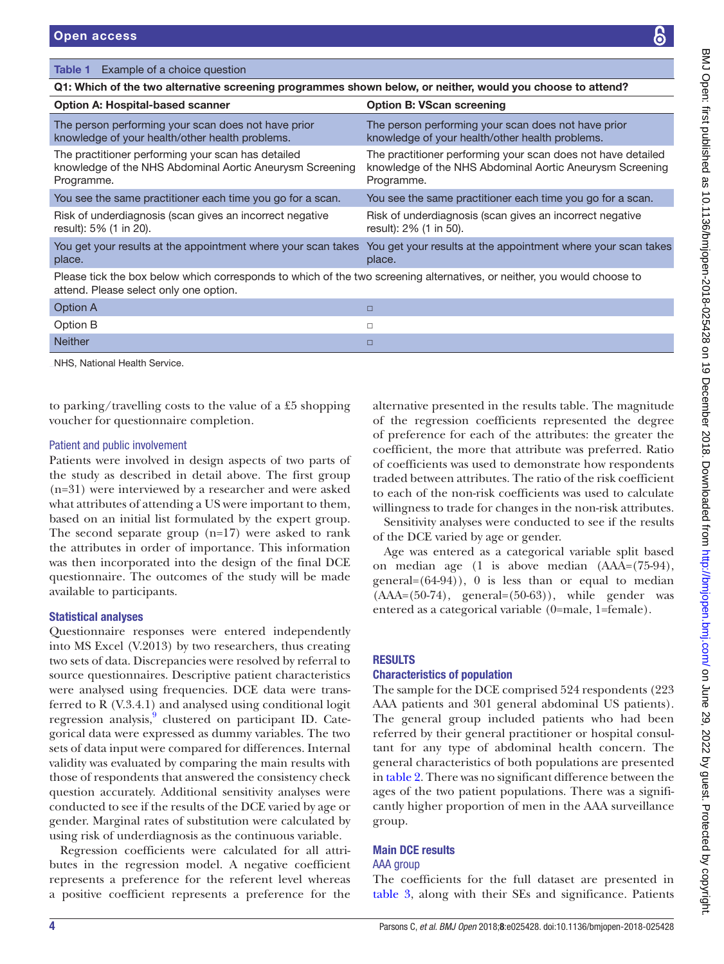### <span id="page-3-0"></span>Table 1 Example of a choice question

| Q1: Which of the two alternative screening programmes shown below, or neither, would you choose to attend?                                                        |                                                                                                                                        |  |  |  |  |
|-------------------------------------------------------------------------------------------------------------------------------------------------------------------|----------------------------------------------------------------------------------------------------------------------------------------|--|--|--|--|
| <b>Option A: Hospital-based scanner</b>                                                                                                                           | <b>Option B: VScan screening</b>                                                                                                       |  |  |  |  |
| The person performing your scan does not have prior<br>knowledge of your health/other health problems.                                                            | The person performing your scan does not have prior<br>knowledge of your health/other health problems.                                 |  |  |  |  |
| The practitioner performing your scan has detailed<br>knowledge of the NHS Abdominal Aortic Aneurysm Screening<br>Programme.                                      | The practitioner performing your scan does not have detailed<br>knowledge of the NHS Abdominal Aortic Aneurysm Screening<br>Programme. |  |  |  |  |
| You see the same practitioner each time you go for a scan.                                                                                                        | You see the same practitioner each time you go for a scan.                                                                             |  |  |  |  |
| Risk of underdiagnosis (scan gives an incorrect negative<br>result): 5% (1 in 20).                                                                                | Risk of underdiagnosis (scan gives an incorrect negative<br>result): 2% (1 in 50).                                                     |  |  |  |  |
| You get your results at the appointment where your scan takes<br>place.                                                                                           | You get your results at the appointment where your scan takes<br>place.                                                                |  |  |  |  |
| Please tick the box below which corresponds to which of the two screening alternatives, or neither, you would choose to<br>attend. Please select only one option. |                                                                                                                                        |  |  |  |  |
| Option A                                                                                                                                                          | □                                                                                                                                      |  |  |  |  |
| Ontion R                                                                                                                                                          | п.                                                                                                                                     |  |  |  |  |

| Neither  |    |
|----------|----|
| Option B |    |
| V        | -- |

NHS, National Health Service.

to parking/travelling costs to the value of a £5 shopping voucher for questionnaire completion.

#### Patient and public involvement

Patients were involved in design aspects of two parts of the study as described in detail above. The first group (n=31) were interviewed by a researcher and were asked what attributes of attending a US were important to them, based on an initial list formulated by the expert group. The second separate group (n=17) were asked to rank the attributes in order of importance. This information was then incorporated into the design of the final DCE questionnaire. The outcomes of the study will be made available to participants.

# Statistical analyses

Questionnaire responses were entered independently into MS Excel (V.2013) by two researchers, thus creating two sets of data. Discrepancies were resolved by referral to source questionnaires. Descriptive patient characteristics were analysed using frequencies. DCE data were transferred to R (V.3.4.1) and analysed using conditional logit regression analysis,<sup>9</sup> clustered on participant ID. Categorical data were expressed as dummy variables. The two sets of data input were compared for differences. Internal validity was evaluated by comparing the main results with those of respondents that answered the consistency check question accurately. Additional sensitivity analyses were conducted to see if the results of the DCE varied by age or gender. Marginal rates of substitution were calculated by using risk of underdiagnosis as the continuous variable.

Regression coefficients were calculated for all attributes in the regression model. A negative coefficient represents a preference for the referent level whereas a positive coefficient represents a preference for the

alternative presented in the results table. The magnitude of the regression coefficients represented the degree of preference for each of the attributes: the greater the coefficient, the more that attribute was preferred. Ratio of coefficients was used to demonstrate how respondents traded between attributes. The ratio of the risk coefficient to each of the non-risk coefficients was used to calculate willingness to trade for changes in the non-risk attributes.

Sensitivity analyses were conducted to see if the results of the DCE varied by age or gender.

Age was entered as a categorical variable split based on median age (1 is above median (AAA=(75-94), general= $(64-94)$ ), 0 is less than or equal to median  $(AAA=(50-74)$ , general= $(50-63)$ ), while gender was entered as a categorical variable (0=male, 1=female).

# **RESULTS**

#### Characteristics of population

The sample for the DCE comprised 524 respondents (223 AAA patients and 301 general abdominal US patients). The general group included patients who had been referred by their general practitioner or hospital consultant for any type of abdominal health concern. The general characteristics of both populations are presented in [table](#page-4-0) 2. There was no significant difference between the ages of the two patient populations. There was a significantly higher proportion of men in the AAA surveillance group.

# Main DCE results

#### AAA group

The coefficients for the full dataset are presented in [table](#page-4-1) 3, along with their SEs and significance. Patients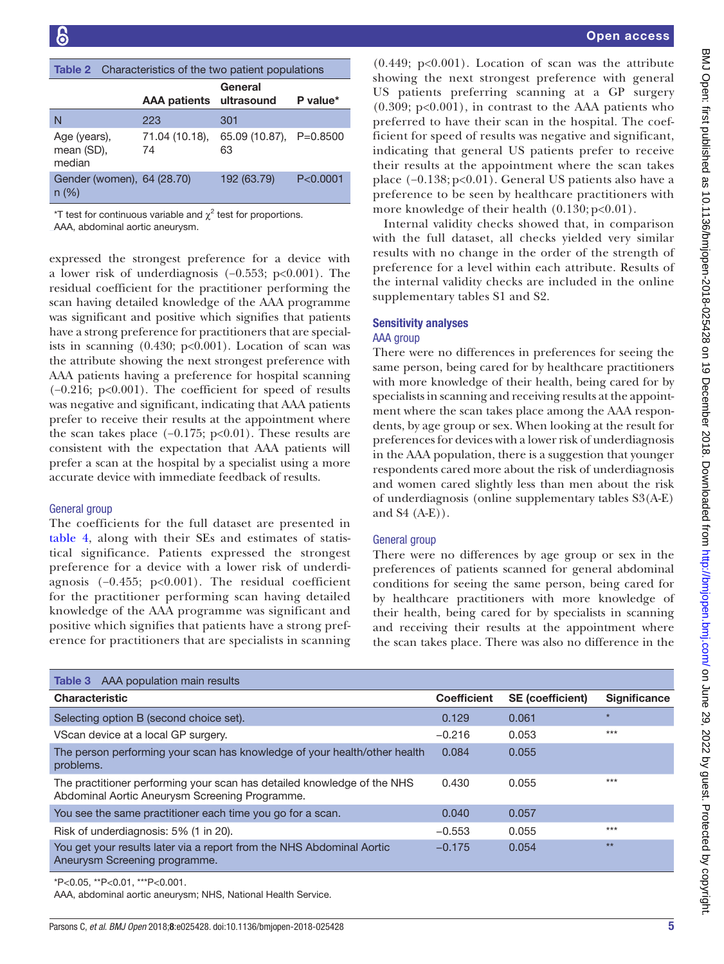<span id="page-4-0"></span>

| <b>Table 2</b> Characteristics of the two patient populations |                         |                               |            |  |  |
|---------------------------------------------------------------|-------------------------|-------------------------------|------------|--|--|
|                                                               | AAA patients ultrasound | General                       | P value*   |  |  |
| N                                                             | 223                     | 301                           |            |  |  |
| Age (years),<br>mean (SD),<br>median                          | 71.04 (10.18),<br>74    | 65.09 (10.87), P=0.8500<br>63 |            |  |  |
| Gender (women), 64 (28.70)<br>$n (\%)$                        |                         | 192 (63.79)                   | P < 0.0001 |  |  |

\*T test for continuous variable and  $\chi^2$  test for proportions.

AAA, abdominal aortic aneurysm.

expressed the strongest preference for a device with a lower risk of underdiagnosis (−0.553; p<0.001). The residual coefficient for the practitioner performing the scan having detailed knowledge of the AAA programme was significant and positive which signifies that patients have a strong preference for practitioners that are specialists in scanning  $(0.430; p<0.001)$ . Location of scan was the attribute showing the next strongest preference with AAA patients having a preference for hospital scanning (−0.216; p<0.001). The coefficient for speed of results was negative and significant, indicating that AAA patients prefer to receive their results at the appointment where the scan takes place  $(-0.175; p<0.01)$ . These results are consistent with the expectation that AAA patients will prefer a scan at the hospital by a specialist using a more accurate device with immediate feedback of results.

#### General group

The coefficients for the full dataset are presented in [table](#page-5-0) 4, along with their SEs and estimates of statistical significance. Patients expressed the strongest preference for a device with a lower risk of underdiagnosis (−0.455; p<0.001). The residual coefficient for the practitioner performing scan having detailed knowledge of the AAA programme was significant and positive which signifies that patients have a strong preference for practitioners that are specialists in scanning

 $(0.449; p<0.001)$ . Location of scan was the attribute showing the next strongest preference with general US patients preferring scanning at a GP surgery  $(0.309; p<0.001)$ , in contrast to the AAA patients who preferred to have their scan in the hospital. The coefficient for speed of results was negative and significant, indicating that general US patients prefer to receive their results at the appointment where the scan takes place (−0.138; p<0.01). General US patients also have a preference to be seen by healthcare practitioners with more knowledge of their health  $(0.130; p<0.01)$ .

Internal validity checks showed that, in comparison with the full dataset, all checks yielded very similar results with no change in the order of the strength of preference for a level within each attribute. Results of the internal validity checks are included in the online [supplementary tables S1 and S2.](https://dx.doi.org/10.1136/bmjopen-2018-025428)

# Sensitivity analyses

### AAA group

There were no differences in preferences for seeing the same person, being cared for by healthcare practitioners with more knowledge of their health, being cared for by specialists in scanning and receiving results at the appointment where the scan takes place among the AAA respondents, by age group or sex. When looking at the result for preferences for devices with a lower risk of underdiagnosis in the AAA population, there is a suggestion that younger respondents cared more about the risk of underdiagnosis and women cared slightly less than men about the risk of underdiagnosis (online [supplementary tables S3\(A-E\)](https://dx.doi.org/10.1136/bmjopen-2018-025428)  [and S4 \(A-E\)](https://dx.doi.org/10.1136/bmjopen-2018-025428)).

# General group

There were no differences by age group or sex in the preferences of patients scanned for general abdominal conditions for seeing the same person, being cared for by healthcare practitioners with more knowledge of their health, being cared for by specialists in scanning and receiving their results at the appointment where the scan takes place. There was also no difference in the

<span id="page-4-1"></span>

| <b>Table 3</b> AAA population main results                                                                                |                    |                         |                     |
|---------------------------------------------------------------------------------------------------------------------------|--------------------|-------------------------|---------------------|
| <b>Characteristic</b>                                                                                                     | <b>Coefficient</b> | <b>SE</b> (coefficient) | <b>Significance</b> |
| Selecting option B (second choice set).                                                                                   | 0.129              | 0.061                   | $\star$             |
| VScan device at a local GP surgery.                                                                                       | $-0.216$           | 0.053                   | $***$               |
| The person performing your scan has knowledge of your health/other health<br>problems.                                    | 0.084              | 0.055                   |                     |
| The practitioner performing your scan has detailed knowledge of the NHS<br>Abdominal Aortic Aneurysm Screening Programme. | 0.430              | 0.055                   | $***$               |
| You see the same practitioner each time you go for a scan.                                                                | 0.040              | 0.057                   |                     |
| Risk of underdiagnosis: 5% (1 in 20).                                                                                     | $-0.553$           | 0.055                   | $***$               |
| You get your results later via a report from the NHS Abdominal Aortic<br>Aneurysm Screening programme.                    | $-0.175$           | 0.054                   | $**$                |

\*P<0.05, \*\*P<0.01, \*\*\*P<0.001.

AAA, abdominal aortic aneurysm; NHS, National Health Service.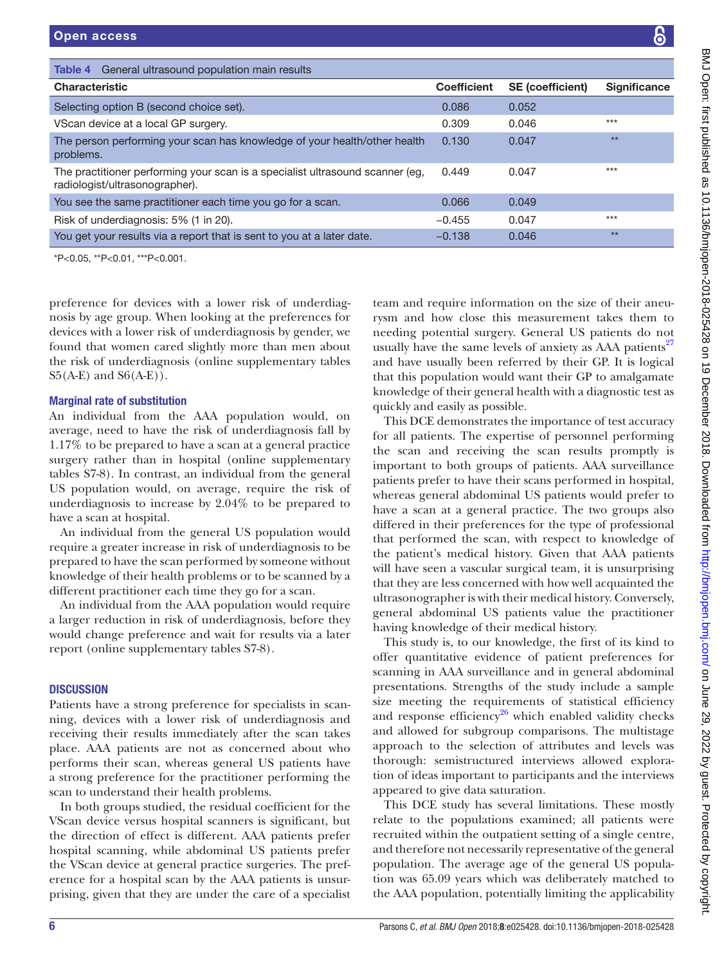<span id="page-5-0"></span>

| General ultrasound population main results<br>Table 4                                                           |                    |                         |                     |
|-----------------------------------------------------------------------------------------------------------------|--------------------|-------------------------|---------------------|
| <b>Characteristic</b>                                                                                           | <b>Coefficient</b> | <b>SE</b> (coefficient) | <b>Significance</b> |
| Selecting option B (second choice set).                                                                         | 0.086              | 0.052                   |                     |
| VScan device at a local GP surgery.                                                                             | 0.309              | 0.046                   | $***$               |
| The person performing your scan has knowledge of your health/other health<br>problems.                          | 0.130              | 0.047                   | $**$                |
| The practitioner performing your scan is a specialist ultrasound scanner (eg,<br>radiologist/ultrasonographer). | 0.449              | 0.047                   | $***$               |
| You see the same practitioner each time you go for a scan.                                                      | 0.066              | 0.049                   |                     |
| Risk of underdiagnosis: 5% (1 in 20).                                                                           | $-0.455$           | 0.047                   | $***$               |
| You get your results via a report that is sent to you at a later date.                                          | $-0.138$           | 0.046                   | $**$                |
| _*P<0.05, **P<0.01, ***P<0.001.                                                                                 |                    |                         |                     |

preference for devices with a lower risk of underdiagnosis by age group. When looking at the preferences for devices with a lower risk of underdiagnosis by gender, we found that women cared slightly more than men about the risk of underdiagnosis (online [supplementary tables](https://dx.doi.org/10.1136/bmjopen-2018-025428)  $S5(A-E)$  and  $S6(A-E)$ ).

# Marginal rate of substitution

An individual from the AAA population would, on average, need to have the risk of underdiagnosis fall by 1.17% to be prepared to have a scan at a general practice surgery rather than in hospital (online [supplementary](https://dx.doi.org/10.1136/bmjopen-2018-025428) [tables S7-8\)](https://dx.doi.org/10.1136/bmjopen-2018-025428). In contrast, an individual from the general US population would, on average, require the risk of underdiagnosis to increase by 2.04% to be prepared to have a scan at hospital.

An individual from the general US population would require a greater increase in risk of underdiagnosis to be prepared to have the scan performed by someone without knowledge of their health problems or to be scanned by a different practitioner each time they go for a scan.

An individual from the AAA population would require a larger reduction in risk of underdiagnosis, before they would change preference and wait for results via a later report (online [supplementary tables S7-8\)](https://dx.doi.org/10.1136/bmjopen-2018-025428).

# **DISCUSSION**

Patients have a strong preference for specialists in scanning, devices with a lower risk of underdiagnosis and receiving their results immediately after the scan takes place. AAA patients are not as concerned about who performs their scan, whereas general US patients have a strong preference for the practitioner performing the scan to understand their health problems.

In both groups studied, the residual coefficient for the VScan device versus hospital scanners is significant, but the direction of effect is different. AAA patients prefer hospital scanning, while abdominal US patients prefer the VScan device at general practice surgeries. The preference for a hospital scan by the AAA patients is unsurprising, given that they are under the care of a specialist

team and require information on the size of their aneurysm and how close this measurement takes them to needing potential surgery. General US patients do not usually have the same levels of anxiety as AAA patients<sup>[27](#page-7-10)</sup> and have usually been referred by their GP. It is logical that this population would want their GP to amalgamate knowledge of their general health with a diagnostic test as quickly and easily as possible.

This DCE demonstrates the importance of test accuracy for all patients. The expertise of personnel performing the scan and receiving the scan results promptly is important to both groups of patients. AAA surveillance patients prefer to have their scans performed in hospital, whereas general abdominal US patients would prefer to have a scan at a general practice. The two groups also differed in their preferences for the type of professional that performed the scan, with respect to knowledge of the patient's medical history. Given that AAA patients will have seen a vascular surgical team, it is unsurprising that they are less concerned with how well acquainted the ultrasonographer is with their medical history. Conversely, general abdominal US patients value the practitioner having knowledge of their medical history.

This study is, to our knowledge, the first of its kind to offer quantitative evidence of patient preferences for scanning in AAA surveillance and in general abdominal presentations. Strengths of the study include a sample size meeting the requirements of statistical efficiency and response efficiency<sup>26</sup> which enabled validity checks and allowed for subgroup comparisons. The multistage approach to the selection of attributes and levels was thorough: semistructured interviews allowed exploration of ideas important to participants and the interviews appeared to give data saturation.

This DCE study has several limitations. These mostly relate to the populations examined; all patients were recruited within the outpatient setting of a single centre, and therefore not necessarily representative of the general population. The average age of the general US population was 65.09 years which was deliberately matched to the AAA population, potentially limiting the applicability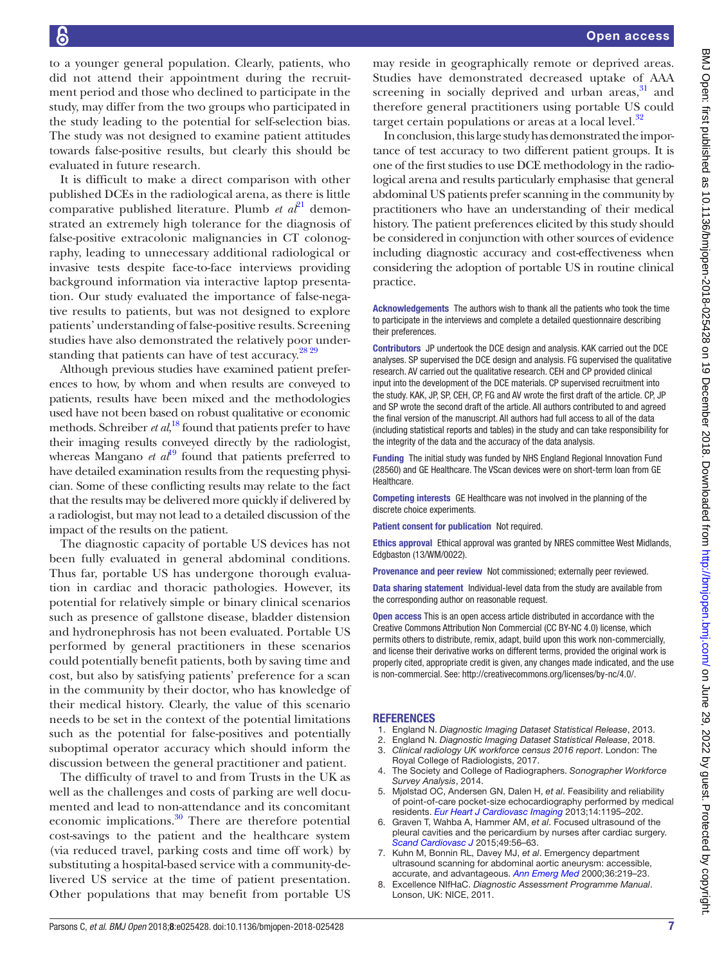to a younger general population. Clearly, patients, who did not attend their appointment during the recruitment period and those who declined to participate in the study, may differ from the two groups who participated in the study leading to the potential for self-selection bias. The study was not designed to examine patient attitudes towards false-positive results, but clearly this should be evaluated in future research.

It is difficult to make a direct comparison with other published DCEs in the radiological arena, as there is little comparative published literature. Plumb  $et\ a^{\beta}$ <sup>1</sup> demonstrated an extremely high tolerance for the diagnosis of false-positive extracolonic malignancies in CT colonography, leading to unnecessary additional radiological or invasive tests despite face-to-face interviews providing background information via interactive laptop presentation. Our study evaluated the importance of false-negative results to patients, but was not designed to explore patients' understanding of false-positive results. Screening studies have also demonstrated the relatively poor under-standing that patients can have of test accuracy.<sup>[28 29](#page-7-11)</sup>

Although previous studies have examined patient preferences to how, by whom and when results are conveyed to patients, results have been mixed and the methodologies used have not been based on robust qualitative or economic methods. Schreiber *et al*, [18](#page-7-4) found that patients prefer to have their imaging results conveyed directly by the radiologist, whereas Mangano  $et al^{19}$  $et al^{19}$  $et al^{19}$  found that patients preferred to have detailed examination results from the requesting physician. Some of these conflicting results may relate to the fact that the results may be delivered more quickly if delivered by a radiologist, but may not lead to a detailed discussion of the impact of the results on the patient.

The diagnostic capacity of portable US devices has not been fully evaluated in general abdominal conditions. Thus far, portable US has undergone thorough evaluation in cardiac and thoracic pathologies. However, its potential for relatively simple or binary clinical scenarios such as presence of gallstone disease, bladder distension and hydronephrosis has not been evaluated. Portable US performed by general practitioners in these scenarios could potentially benefit patients, both by saving time and cost, but also by satisfying patients' preference for a scan in the community by their doctor, who has knowledge of their medical history. Clearly, the value of this scenario needs to be set in the context of the potential limitations such as the potential for false-positives and potentially suboptimal operator accuracy which should inform the discussion between the general practitioner and patient.

The difficulty of travel to and from Trusts in the UK as well as the challenges and costs of parking are well documented and lead to non-attendance and its concomitant economic implications. $30$  There are therefore potential cost-savings to the patient and the healthcare system (via reduced travel, parking costs and time off work) by substituting a hospital-based service with a community-delivered US service at the time of patient presentation. Other populations that may benefit from portable US may reside in geographically remote or deprived areas. Studies have demonstrated decreased uptake of AAA screening in socially deprived and urban areas, $31$  and therefore general practitioners using portable US could target certain populations or areas at a local level. $32$ 

In conclusion, this large study has demonstrated the importance of test accuracy to two different patient groups. It is one of the first studies to use DCE methodology in the radiological arena and results particularly emphasise that general abdominal US patients prefer scanning in the community by practitioners who have an understanding of their medical history. The patient preferences elicited by this study should be considered in conjunction with other sources of evidence including diagnostic accuracy and cost-effectiveness when considering the adoption of portable US in routine clinical practice.

Acknowledgements The authors wish to thank all the patients who took the time to participate in the interviews and complete a detailed questionnaire describing their preferences.

Contributors JP undertook the DCE design and analysis. KAK carried out the DCE analyses. SP supervised the DCE design and analysis. FG supervised the qualitative research. AV carried out the qualitative research. CEH and CP provided clinical input into the development of the DCE materials. CP supervised recruitment into the study. KAK, JP, SP, CEH, CP, FG and AV wrote the first draft of the article. CP, JP and SP wrote the second draft of the article. All authors contributed to and agreed the final version of the manuscript. All authors had full access to all of the data (including statistical reports and tables) in the study and can take responsibility for the integrity of the data and the accuracy of the data analysis.

Funding The initial study was funded by NHS England Regional Innovation Fund (28560) and GE Healthcare. The VScan devices were on short-term loan from GE **Healthcare** 

Competing interests GE Healthcare was not involved in the planning of the discrete choice experiments.

Patient consent for publication Not required.

Ethics approval Ethical approval was granted by NRES committee West Midlands, Edgbaston (13/WM/0022).

Provenance and peer review Not commissioned; externally peer reviewed.

Data sharing statement Individual-level data from the study are available from the corresponding author on reasonable request.

Open access This is an open access article distributed in accordance with the Creative Commons Attribution Non Commercial (CC BY-NC 4.0) license, which permits others to distribute, remix, adapt, build upon this work non-commercially, and license their derivative works on different terms, provided the original work is properly cited, appropriate credit is given, any changes made indicated, and the use is non-commercial. See: [http://creativecommons.org/licenses/by-nc/4.0/.](http://creativecommons.org/licenses/by-nc/4.0/)

#### **REFERENCES**

- <span id="page-6-0"></span>1. England N. *Diagnostic Imaging Dataset Statistical Release*, 2013.
- 2. England N. *Diagnostic Imaging Dataset Statistical Release*, 2018.
- <span id="page-6-1"></span>3. *Clinical radiology UK workforce census 2016 report*. London: The Royal College of Radiologists, 2017.
- 4. The Society and College of Radiographers. *Sonographer Workforce Survey Analysis*, 2014.
- <span id="page-6-2"></span>5. Mjølstad OC, Andersen GN, Dalen H, *et al*. Feasibility and reliability of point-of-care pocket-size echocardiography performed by medical residents. *[Eur Heart J Cardiovasc Imaging](http://dx.doi.org/10.1093/ehjci/jet062)* 2013;14:1195–202.
- <span id="page-6-3"></span>6. Graven T, Wahba A, Hammer AM, *et al*. Focused ultrasound of the pleural cavities and the pericardium by nurses after cardiac surgery. *[Scand Cardiovasc J](http://dx.doi.org/10.3109/14017431.2015.1009383)* 2015;49:56–63.
- <span id="page-6-4"></span>7. Kuhn M, Bonnin RL, Davey MJ, *et al*. Emergency department ultrasound scanning for abdominal aortic aneurysm: accessible, accurate, and advantageous. *[Ann Emerg Med](http://dx.doi.org/10.1067/mem.2000.108616)* 2000;36:219–23.
- <span id="page-6-5"></span>8. Excellence NIfHaC. *Diagnostic Assessment Programme Manual*. Lonson, UK: NICE, 2011.